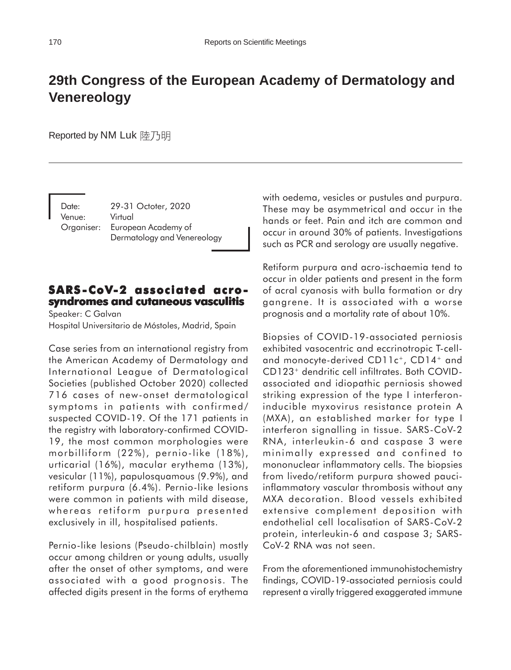# **29th Congress of the European Academy of Dermatology and Venereology**

Reported by NM Luk 陸乃明

Date: 29-31 Octoter, 2020 Venue: Virtual Organiser: European Academy of Dermatology and Venereology

## **SARS -CoV-2 associated acrosyndromes and cutaneous vasculitis**

Speaker: C Galvan Hospital Universitario de Móstoles, Madrid, Spain

Case series from an international registry from the American Academy of Dermatology and International League of Dermatological Societies (published October 2020) collected 716 cases of new-onset dermatological symptoms in patients with confirmed/ suspected COVID-19. Of the 171 patients in the registry with laboratory-confirmed COVID-19, the most common morphologies were morbilliform (22%), pernio-like (18%), urticarial (16%), macular erythema (13%), vesicular (11%), papulosquamous (9.9%), and retiform purpura (6.4%). Pernio-like lesions were common in patients with mild disease, whereas retiform purpura presented exclusively in ill, hospitalised patients.

Pernio-like lesions (Pseudo-chilblain) mostly occur among children or young adults, usually after the onset of other symptoms, and were associated with a good prognosis. The affected digits present in the forms of erythema

with oedema, vesicles or pustules and purpura. These may be asymmetrical and occur in the hands or feet. Pain and itch are common and occur in around 30% of patients. Investigations such as PCR and serology are usually negative.

Retiform purpura and acro-ischaemia tend to occur in older patients and present in the form of acral cyanosis with bulla formation or dry gangrene. It is associated with a worse prognosis and a mortality rate of about 10%.

Biopsies of COVID-19-associated perniosis exhibited vasocentric and eccrinotropic T-celland monocyte-derived CD11c<sup>+</sup>, CD14<sup>+</sup> and CD123+ dendritic cell infiltrates. Both COVIDassociated and idiopathic perniosis showed striking expression of the type I interferoninducible myxovirus resistance protein A (MXA), an established marker for type I interferon signalling in tissue. SARS-CoV-2 RNA, interleukin-6 and caspase 3 were minimally expressed and confined to mononuclear inflammatory cells. The biopsies from livedo/retiform purpura showed pauciinflammatory vascular thrombosis without any MXA decoration. Blood vessels exhibited extensive complement deposition with endothelial cell localisation of SARS-CoV-2 protein, interleukin-6 and caspase 3; SARS-CoV-2 RNA was not seen.

From the aforementioned immunohistochemistry findings, COVID-19-associated perniosis could represent a virally triggered exaggerated immune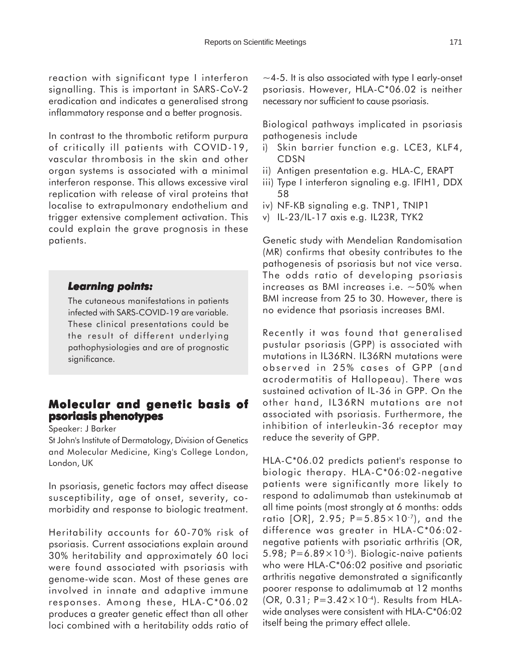reaction with significant type I interferon signalling. This is important in SARS-CoV-2 eradication and indicates a generalised strong inflammatory response and a better prognosis.

In contrast to the thrombotic retiform purpura of critically ill patients with COVID-19, vascular thrombosis in the skin and other organ systems is associated with a minimal interferon response. This allows excessive viral replication with release of viral proteins that localise to extrapulmonary endothelium and trigger extensive complement activation. This could explain the grave prognosis in these patients.

## *Learning points: Learning points:*

The cutaneous manifestations in patients infected with SARS-COVID-19 are variable. These clinical presentations could be the result of different underlying pathophysiologies and are of prognostic significance.

## **Molecular and genetic basis of Molecular genetic of psoriasis phenotypes**

Speaker: J Barker

St John's Institute of Dermatology, Division of Genetics and Molecular Medicine, King's College London, London, UK

In psoriasis, genetic factors may affect disease susceptibility, age of onset, severity, comorbidity and response to biologic treatment.

Heritability accounts for 60-70% risk of psoriasis. Current associations explain around 30% heritability and approximately 60 loci were found associated with psoriasis with genome-wide scan. Most of these genes are involved in innate and adaptive immune responses. Among these, HLA-C\*06.02 produces a greater genetic effect than all other loci combined with a heritability odds ratio of  $\sim$ 4-5. It is also associated with type I early-onset psoriasis. However, HLA-C\*06.02 is neither necessary nor sufficient to cause psoriasis.

Biological pathways implicated in psoriasis pathogenesis include

- i) Skin barrier function e.g. LCE3, KLF4, CDSN
- ii) Antigen presentation e.g. HLA-C, ERAPT
- iii) Type I interferon signaling e.g. IFIH1, DDX 58
- iv) NF-KB signaling e.g. TNP1, TNIP1
- v) IL-23/IL-17 axis e.g. IL23R, TYK2

Genetic study with Mendelian Randomisation (MR) confirms that obesity contributes to the pathogenesis of psoriasis but not vice versa. The odds ratio of developing psoriasis increases as BMI increases i.e.  $\sim$  50% when BMI increase from 25 to 30. However, there is no evidence that psoriasis increases BMI.

Recently it was found that generalised pustular psoriasis (GPP) is associated with mutations in IL36RN. IL36RN mutations were observed in 25% cases of GPP (and acrodermatitis of Hallopeau). There was sustained activation of IL-36 in GPP. On the other hand, IL36RN mutations are not associated with psoriasis. Furthermore, the inhibition of interleukin-36 receptor may reduce the severity of GPP.

HLA-C\*06.02 predicts patient's response to biologic therapy. HLA-C\*06:02-negative patients were significantly more likely to respond to adalimumab than ustekinumab at all time points (most strongly at 6 months: odds ratio [OR], 2.95;  $P = 5.85 \times 10^{-7}$ , and the difference was greater in HLA-C\*06:02 negative patients with psoriatic arthritis (OR, 5.98; P=6.89 $\times$ 10<sup>-5</sup>). Biologic-naive patients who were HLA-C\*06:02 positive and psoriatic arthritis negative demonstrated a significantly poorer response to adalimumab at 12 months (OR, 0.31;  $P = 3.42 \times 10^{-4}$ ). Results from HLAwide analyses were consistent with HLA-C\*06:02 itself being the primary effect allele.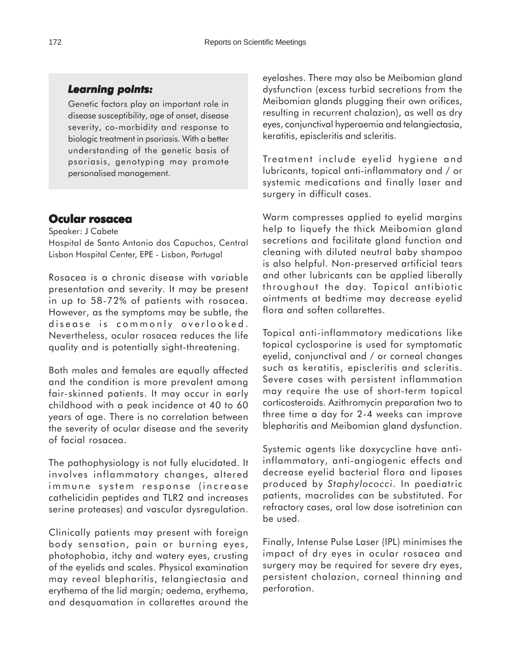#### *Learning points: Learning points:*

Genetic factors play an important role in disease susceptibility, age of onset, disease severity, co-morbidity and response to biologic treatment in psoriasis. With a better understanding of the genetic basis of psoriasis, genotyping may promote personalised management.

### **Ocular rosacea**

Speaker: J Cabete Hospital de Santo Antonio dos Capuchos, Central Lisbon Hospital Center, EPE - Lisbon, Portugal

Rosacea is a chronic disease with variable presentation and severity. It may be present in up to 58-72% of patients with rosacea. However, as the symptoms may be subtle, the disease is commonly overlooked. Nevertheless, ocular rosacea reduces the life quality and is potentially sight-threatening.

Both males and females are equally affected and the condition is more prevalent among fair-skinned patients. It may occur in early childhood with a peak incidence at 40 to 60 years of age. There is no correlation between the severity of ocular disease and the severity of facial rosacea.

The pathophysiology is not fully elucidated. It involves inflammatory changes, altered immune system response (increase cathelicidin peptides and TLR2 and increases serine proteases) and vascular dysregulation.

Clinically patients may present with foreign body sensation, pain or burning eyes, photophobia, itchy and watery eyes, crusting of the eyelids and scales. Physical examination may reveal blepharitis, telangiectasia and erythema of the lid margin; oedema, erythema, and desquamation in collarettes around the

eyelashes. There may also be Meibomian gland dysfunction (excess turbid secretions from the Meibomian glands plugging their own orifices, resulting in recurrent chalazion), as well as dry eyes, conjunctival hyperaemia and telangiectasia, keratitis, episcleritis and scleritis.

Treatment include eyelid hygiene and lubricants, topical anti-inflammatory and / or systemic medications and finally laser and surgery in difficult cases.

Warm compresses applied to eyelid margins help to liquefy the thick Meibomian gland secretions and facilitate gland function and cleaning with diluted neutral baby shampoo is also helpful. Non-preserved artificial tears and other lubricants can be applied liberally throughout the day. Topical antibiotic ointments at bedtime may decrease eyelid flora and soften collarettes.

Topical anti-inflammatory medications like topical cyclosporine is used for symptomatic eyelid, conjunctival and / or corneal changes such as keratitis, episcleritis and scleritis. Severe cases with persistent inflammation may require the use of short-term topical corticosteroids. Azithromycin preparation two to three time a day for 2-4 weeks can improve blepharitis and Meibomian gland dysfunction.

Systemic agents like doxycycline have antiinflammatory, anti-angiogenic effects and decrease eyelid bacterial flora and lipases produced by *Staphylococci*. In paediatric patients, macrolides can be substituted. For refractory cases, oral low dose isotretinion can be used.

Finally, Intense Pulse Laser (IPL) minimises the impact of dry eyes in ocular rosacea and surgery may be required for severe dry eyes, persistent chalazion, corneal thinning and perforation.